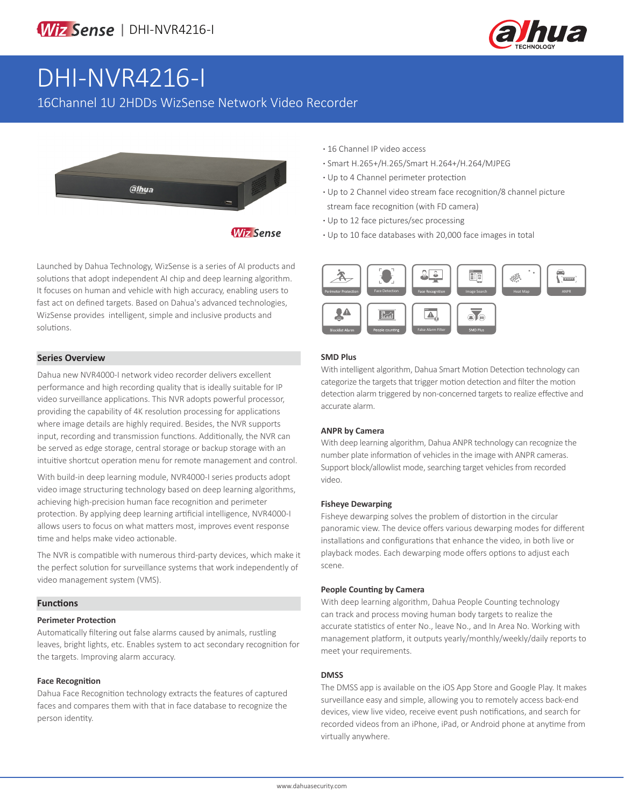

# DHI-NVR4216-I

16Channel 1U 2HDDs WizSense Network Video Recorder



Launched by Dahua Technology, WizSense is a series of AI products and solutions that adopt independent AI chip and deep learning algorithm. It focuses on human and vehicle with high accuracy, enabling users to fast act on defined targets. Based on Dahua's advanced technologies, WizSense provides intelligent, simple and inclusive products and solutions.

### **Series Overview**

Dahua new NVR4000-I network video recorder delivers excellent performance and high recording quality that is ideally suitable for IP video surveillance applications. This NVR adopts powerful processor, providing the capability of 4K resolution processing for applications where image details are highly required. Besides, the NVR supports input, recording and transmission functions. Additionally, the NVR can be served as edge storage, central storage or backup storage with an intuitive shortcut operation menu for remote management and control.

With build-in deep learning module, NVR4000-I series products adopt video image structuring technology based on deep learning algorithms, achieving high-precision human face recognition and perimeter protection. By applying deep learning artificial intelligence, NVR4000-I allows users to focus on what matters most, improves event response time and helps make video actionable.

The NVR is compatible with numerous third-party devices, which make it the perfect solution for surveillance systems that work independently of video management system (VMS).

#### **Functions**

#### **Perimeter Protection**

Automatically filtering out false alarms caused by animals, rustling leaves, bright lights, etc. Enables system to act secondary recognition for the targets. Improving alarm accuracy.

#### **Face Recognition**

Dahua Face Recognition technology extracts the features of captured faces and compares them with that in face database to recognize the person identity.

- **·** 16 Channel IP video access
- **·** Smart H.265+/H.265/Smart H.264+/H.264/MJPEG
- **·** Up to 4 Channel perimeter protection
- **·** Up to 2 Channel video stream face recognition/8 channel picture stream face recognition (with FD camera)
- **·** Up to 12 face pictures/sec processing
- **·** Up to 10 face databases with 20,000 face images in total



#### **SMD Plus**

With intelligent algorithm, Dahua Smart Motion Detection technology can categorize the targets that trigger motion detection and filter the motion detection alarm triggered by non-concerned targets to realize effective and accurate alarm.

#### **ANPR by Camera**

With deep learning algorithm, Dahua ANPR technology can recognize the number plate information of vehicles in the image with ANPR cameras. Support block/allowlist mode, searching target vehicles from recorded video.

#### **Fisheye Dewarping**

Fisheye dewarping solves the problem of distortion in the circular panoramic view. The device offers various dewarping modes for different installations and configurations that enhance the video, in both live or playback modes. Each dewarping mode offers options to adjust each scene.

#### **People Counting by Camera**

With deep learning algorithm, Dahua People Counting technology can track and process moving human body targets to realize the accurate statistics of enter No., leave No., and In Area No. Working with management platform, it outputs yearly/monthly/weekly/daily reports to meet your requirements.

#### **DMSS**

The DMSS app is available on the iOS App Store and Google Play. It makes surveillance easy and simple, allowing you to remotely access back-end devices, view live video, receive event push notifications, and search for recorded videos from an iPhone, iPad, or Android phone at anytime from virtually anywhere.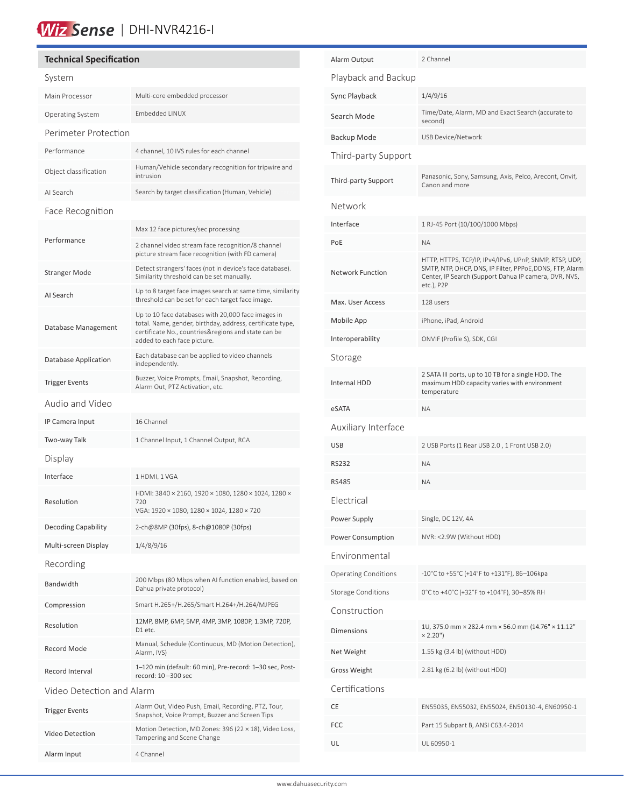# Wiz Sense | DHI-NVR4216-I

# **Technical Specification**

| System                    |                                                                                                                                                                                                       |  |
|---------------------------|-------------------------------------------------------------------------------------------------------------------------------------------------------------------------------------------------------|--|
| Main Processor            | Multi-core embedded processor                                                                                                                                                                         |  |
| Operating System          | Embedded LINUX                                                                                                                                                                                        |  |
| Perimeter Protection      |                                                                                                                                                                                                       |  |
| Performance               | 4 channel, 10 IVS rules for each channel                                                                                                                                                              |  |
| Object classification     | Human/Vehicle secondary recognition for tripwire and<br>intrusion                                                                                                                                     |  |
| AI Search                 | Search by target classification (Human, Vehicle)                                                                                                                                                      |  |
| Face Recognition          |                                                                                                                                                                                                       |  |
|                           | Max 12 face pictures/sec processing                                                                                                                                                                   |  |
| Performance               | 2 channel video stream face recognition/8 channel<br>picture stream face recognition (with FD camera)                                                                                                 |  |
| <b>Stranger Mode</b>      | Detect strangers' faces (not in device's face database).<br>Similarity threshold can be set manually.                                                                                                 |  |
| Al Search                 | Up to 8 target face images search at same time, similarity<br>threshold can be set for each target face image.                                                                                        |  |
| Database Management       | Up to 10 face databases with 20,000 face images in<br>total. Name, gender, birthday, address, certificate type,<br>certificate No., countries&regions and state can be<br>added to each face picture. |  |
| Database Application      | Each database can be applied to video channels<br>independently.                                                                                                                                      |  |
| <b>Trigger Events</b>     | Buzzer, Voice Prompts, Email, Snapshot, Recording,<br>Alarm Out, PTZ Activation, etc.                                                                                                                 |  |
| Audio and Video           |                                                                                                                                                                                                       |  |
| IP Camera Input           | 16 Channel                                                                                                                                                                                            |  |
| Two-way Talk              | 1 Channel Input, 1 Channel Output, RCA                                                                                                                                                                |  |
| Display                   |                                                                                                                                                                                                       |  |
| Interface                 | 1 HDMI, 1 VGA                                                                                                                                                                                         |  |
| Resolution                | HDMI: 3840 × 2160, 1920 × 1080, 1280 × 1024, 1280 ×<br>720<br>VGA: 1920 × 1080, 1280 × 1024, 1280 × 720                                                                                               |  |
| Decoding Capability       | 2-ch@8MP (30fps), 8-ch@1080P (30fps)                                                                                                                                                                  |  |
| Multi-screen Display      | 1/4/8/9/16                                                                                                                                                                                            |  |
| Recording                 |                                                                                                                                                                                                       |  |
| Bandwidth                 | 200 Mbps (80 Mbps when AI function enabled, based on<br>Dahua private protocol)                                                                                                                       |  |
| Compression               | Smart H.265+/H.265/Smart H.264+/H.264/MJPEG                                                                                                                                                           |  |
| Resolution                | 12MP, 8MP, 6MP, 5MP, 4MP, 3MP, 1080P, 1.3MP, 720P,<br>D1 etc.                                                                                                                                         |  |
| Record Mode               | Manual, Schedule (Continuous, MD (Motion Detection),<br>Alarm, IVS)                                                                                                                                   |  |
| Record Interval           | 1-120 min (default: 60 min), Pre-record: 1-30 sec, Post-<br>record: 10-300 sec                                                                                                                        |  |
| Video Detection and Alarm |                                                                                                                                                                                                       |  |
| <b>Trigger Events</b>     | Alarm Out, Video Push, Email, Recording, PTZ, Tour,<br>Snapshot, Voice Prompt, Buzzer and Screen Tips                                                                                                 |  |
| Video Detection           | Motion Detection, MD Zones: 396 (22 × 18), Video Loss,<br>Tampering and Scene Change                                                                                                                  |  |
| Alarm Input               | 4 Channel                                                                                                                                                                                             |  |

| Alarm Output                                                             | 2 Channel                                                                                                                                                                                 |
|--------------------------------------------------------------------------|-------------------------------------------------------------------------------------------------------------------------------------------------------------------------------------------|
| Playback and Backup                                                      |                                                                                                                                                                                           |
| Sync Playback                                                            | 1/4/9/16                                                                                                                                                                                  |
| Search Mode                                                              | Time/Date, Alarm, MD and Exact Search (accurate to<br>second)                                                                                                                             |
| Backup Mode                                                              | USB Device/Network                                                                                                                                                                        |
| Third-party Support                                                      |                                                                                                                                                                                           |
| Third-party Support                                                      | Panasonic, Sony, Samsung, Axis, Pelco, Arecont, Onvif,<br>Canon and more                                                                                                                  |
| Network                                                                  |                                                                                                                                                                                           |
| Interface                                                                | 1 RJ-45 Port (10/100/1000 Mbps)                                                                                                                                                           |
| PoE                                                                      | <b>ΝΑ</b>                                                                                                                                                                                 |
| <b>Network Function</b>                                                  | HTTP, HTTPS, TCP/IP, IPv4/IPv6, UPnP, SNMP, RTSP, UDP,<br>SMTP, NTP, DHCP, DNS, IP Filter, PPPoE, DDNS, FTP, Alarm<br>Center, IP Search (Support Dahua IP camera, DVR, NVS,<br>etc.), P2P |
| Max. User Access                                                         | 128 users                                                                                                                                                                                 |
| Mobile App                                                               | iPhone, iPad, Android                                                                                                                                                                     |
| Interoperability                                                         | ONVIF (Profile S), SDK, CGI                                                                                                                                                               |
| Storage                                                                  |                                                                                                                                                                                           |
| Internal HDD                                                             | 2 SATA III ports, up to 10 TB for a single HDD. The<br>maximum HDD capacity varies with environment<br>temperature                                                                        |
|                                                                          |                                                                                                                                                                                           |
| eSATA                                                                    | ΝA                                                                                                                                                                                        |
| Auxiliary Interface                                                      |                                                                                                                                                                                           |
| USB                                                                      | 2 USB Ports (1 Rear USB 2.0, 1 Front USB 2.0)                                                                                                                                             |
| RS232                                                                    | <b>NA</b>                                                                                                                                                                                 |
| RS485                                                                    | ΝA                                                                                                                                                                                        |
| Flectrical                                                               |                                                                                                                                                                                           |
| Power Supply                                                             | Single, DC 12V, 4A                                                                                                                                                                        |
| Power Consumption                                                        | NVR: <2.9W (Without HDD)                                                                                                                                                                  |
| Environmental                                                            |                                                                                                                                                                                           |
|                                                                          | -10°C to +55°C (+14°F to +131°F), 86-106kpa                                                                                                                                               |
|                                                                          | 0°C to +40°C (+32°F to +104°F), 30-85% RH                                                                                                                                                 |
| <b>Operating Conditions</b><br><b>Storage Conditions</b><br>Construction |                                                                                                                                                                                           |
| Dimensions                                                               | 1U, 375.0 mm × 282.4 mm × 56.0 mm (14.76" × 11.12"<br>$×2.20"$ )                                                                                                                          |
| Net Weight                                                               | 1.55 kg (3.4 lb) (without HDD)                                                                                                                                                            |
|                                                                          | 2.81 kg (6.2 lb) (without HDD)                                                                                                                                                            |
| <b>Gross Weight</b><br>Certifications                                    |                                                                                                                                                                                           |
| СE                                                                       | EN55035, EN55032, EN55024, EN50130-4, EN60950-1                                                                                                                                           |
| FCC                                                                      | Part 15 Subpart B, ANSI C63.4-2014                                                                                                                                                        |